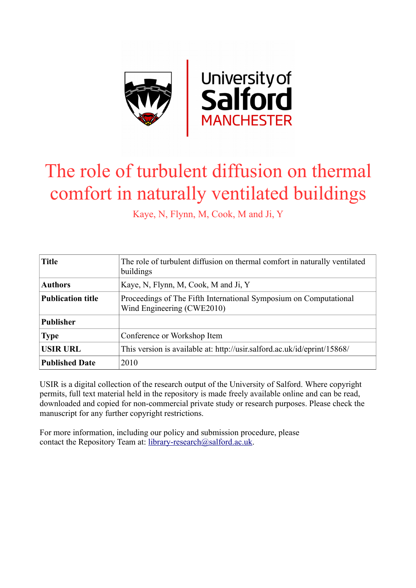

# The role of turbulent diffusion on thermal comfort in naturally ventilated buildings

Kaye, N, Flynn, M, Cook, M and Ji, Y

| <b>Title</b>             | The role of turbulent diffusion on thermal comfort in naturally ventilated<br>buildings         |
|--------------------------|-------------------------------------------------------------------------------------------------|
| <b>Authors</b>           | Kaye, N, Flynn, M, Cook, M and Ji, Y                                                            |
| <b>Publication title</b> | Proceedings of The Fifth International Symposium on Computational<br>Wind Engineering (CWE2010) |
| <b>Publisher</b>         |                                                                                                 |
| <b>Type</b>              | Conference or Workshop Item                                                                     |
| <b>USIR URL</b>          | This version is available at: http://usir.salford.ac.uk/id/eprint/15868/                        |
| <b>Published Date</b>    | 2010                                                                                            |

USIR is a digital collection of the research output of the University of Salford. Where copyright permits, full text material held in the repository is made freely available online and can be read, downloaded and copied for non-commercial private study or research purposes. Please check the manuscript for any further copyright restrictions.

For more information, including our policy and submission procedure, please contact the Repository Team at: [library-research@salford.ac.uk.](mailto:library-research@salford.ac.uk)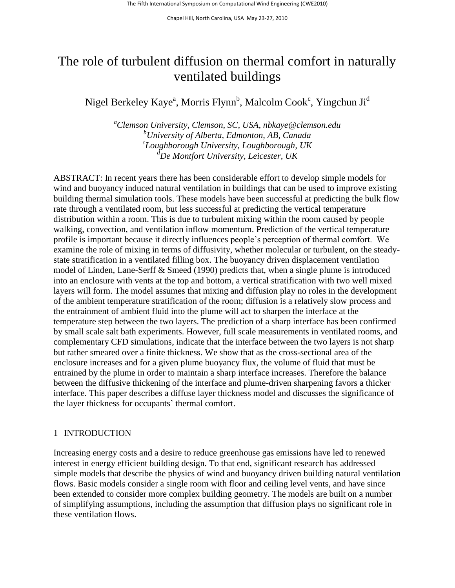# The role of turbulent diffusion on thermal comfort in naturally ventilated buildings

Nigel Berkeley Kaye<sup>a</sup>, Morris Flynn<sup>b</sup>, Malcolm Cook<sup>c</sup>, Yingchun Ji<sup>d</sup>

*<sup>a</sup>Clemson University, Clemson, SC, USA, nbkaye@clemson.edu <sup>b</sup>University of Alberta, Edmonton, AB, Canada c Loughborough University, Loughborough, UK <sup>d</sup>De Montfort University, Leicester, UK*

ABSTRACT: In recent years there has been considerable effort to develop simple models for wind and buoyancy induced natural ventilation in buildings that can be used to improve existing building thermal simulation tools. These models have been successful at predicting the bulk flow rate through a ventilated room, but less successful at predicting the vertical temperature distribution within a room. This is due to turbulent mixing within the room caused by people walking, convection, and ventilation inflow momentum. Prediction of the vertical temperature profile is important because it directly influences people's perception of thermal comfort. We examine the role of mixing in terms of diffusivity, whether molecular or turbulent, on the steadystate stratification in a ventilated filling box. The buoyancy driven displacement ventilation model of Linden, Lane-Serff & Smeed (1990) predicts that, when a single plume is introduced into an enclosure with vents at the top and bottom, a vertical stratification with two well mixed layers will form. The model assumes that mixing and diffusion play no roles in the development of the ambient temperature stratification of the room; diffusion is a relatively slow process and the entrainment of ambient fluid into the plume will act to sharpen the interface at the temperature step between the two layers. The prediction of a sharp interface has been confirmed by small scale salt bath experiments. However, full scale measurements in ventilated rooms, and complementary CFD simulations, indicate that the interface between the two layers is not sharp but rather smeared over a finite thickness. We show that as the cross-sectional area of the enclosure increases and for a given plume buoyancy flux, the volume of fluid that must be entrained by the plume in order to maintain a sharp interface increases. Therefore the balance between the diffusive thickening of the interface and plume-driven sharpening favors a thicker interface. This paper describes a diffuse layer thickness model and discusses the significance of the layer thickness for occupants' thermal comfort.

# 1 INTRODUCTION

Increasing energy costs and a desire to reduce greenhouse gas emissions have led to renewed interest in energy efficient building design. To that end, significant research has addressed simple models that describe the physics of wind and buoyancy driven building natural ventilation flows. Basic models consider a single room with floor and ceiling level vents, and have since been extended to consider more complex building geometry. The models are built on a number of simplifying assumptions, including the assumption that diffusion plays no significant role in these ventilation flows.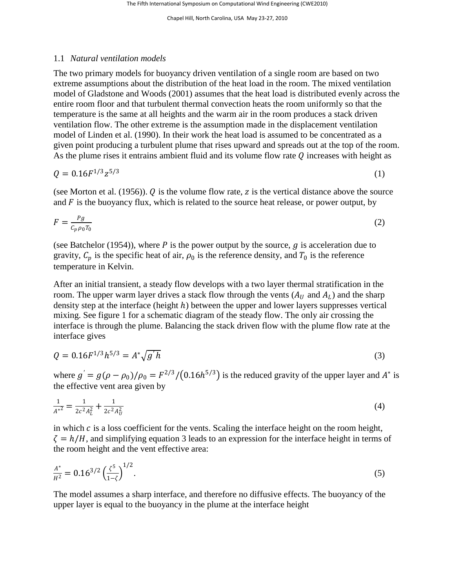#### 1.1 *Natural ventilation models*

The two primary models for buoyancy driven ventilation of a single room are based on two extreme assumptions about the distribution of the heat load in the room. The mixed ventilation model of Gladstone and Woods (2001) assumes that the heat load is distributed evenly across the entire room floor and that turbulent thermal convection heats the room uniformly so that the temperature is the same at all heights and the warm air in the room produces a stack driven ventilation flow. The other extreme is the assumption made in the displacement ventilation model of Linden et al. (1990). In their work the heat load is assumed to be concentrated as a given point producing a turbulent plume that rises upward and spreads out at the top of the room. As the plume rises it entrains ambient fluid and its volume flow rate  $Q$  increases with height as

$$
Q = 0.16F^{1/3}z^{5/3} \tag{1}
$$

(see Morton et al. (1956)).  $Q$  is the volume flow rate,  $z$  is the vertical distance above the source and  $F$  is the buoyancy flux, which is related to the source heat release, or power output, by

$$
F = \frac{pg}{c_p \rho_0 T_0} \tag{2}
$$

(see Batchelor (1954)), where P is the power output by the source,  $q$  is acceleration due to gravity,  $C_p$  is the specific heat of air,  $\rho_0$  is the reference density, and  $T_0$  is the reference temperature in Kelvin.

After an initial transient, a steady flow develops with a two layer thermal stratification in the room. The upper warm layer drives a stack flow through the vents  $(A_U)$  and  $A_L$ ) and the sharp density step at the interface (height  $h$ ) between the upper and lower layers suppresses vertical mixing. See figure 1 for a schematic diagram of the steady flow. The only air crossing the interface is through the plume. Balancing the stack driven flow with the plume flow rate at the interface gives

$$
Q = 0.16F^{1/3}h^{5/3} = A^* \sqrt{g'h}
$$
\n(3)

where  $g' = g(\rho - \rho_0)/\rho_0 = F^{2/3}/(0.16h^{5/3})$  is the reduced gravity of the upper layer and  $A^*$  is the effective vent area given by

$$
\frac{1}{A^{*2}} = \frac{1}{2c^2 A_L^2} + \frac{1}{2c^2 A_U^2} \tag{4}
$$

in which  $c$  is a loss coefficient for the vents. Scaling the interface height on the room height,  $\zeta = h/H$ , and simplifying equation 3 leads to an expression for the interface height in terms of the room height and the vent effective area:

$$
\frac{A^*}{H^2} = 0.16^{3/2} \left(\frac{\zeta^5}{1-\zeta}\right)^{1/2}.\tag{5}
$$

The model assumes a sharp interface, and therefore no diffusive effects. The buoyancy of the upper layer is equal to the buoyancy in the plume at the interface height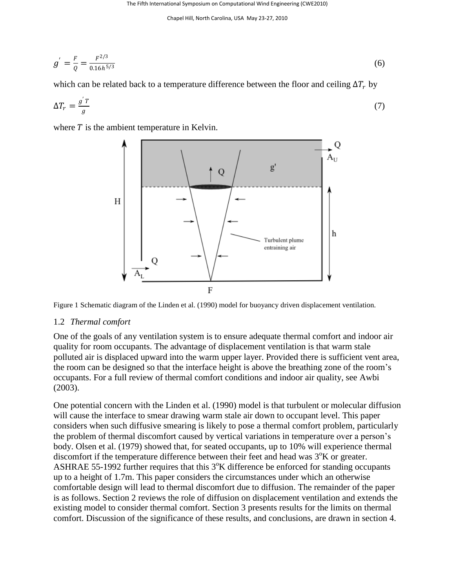The Fifth International Symposium on Computational Wind Engineering (CWE2010)

Chapel Hill, North Carolina, USA May 23-27, 2010

$$
g' = \frac{F}{Q} = \frac{F^{2/3}}{0.16h^{5/3}}
$$
(6)

which can be related back to a temperature difference between the floor and ceiling  $\Delta T_r$  by

$$
\Delta T_r = \frac{g'r}{g} \tag{7}
$$

where  $T$  is the ambient temperature in Kelvin.



Figure 1 Schematic diagram of the Linden et al. (1990) model for buoyancy driven displacement ventilation.

#### 1.2 *Thermal comfort*

One of the goals of any ventilation system is to ensure adequate thermal comfort and indoor air quality for room occupants. The advantage of displacement ventilation is that warm stale polluted air is displaced upward into the warm upper layer. Provided there is sufficient vent area, the room can be designed so that the interface height is above the breathing zone of the room's occupants. For a full review of thermal comfort conditions and indoor air quality, see Awbi (2003).

One potential concern with the Linden et al. (1990) model is that turbulent or molecular diffusion will cause the interface to smear drawing warm stale air down to occupant level. This paper considers when such diffusive smearing is likely to pose a thermal comfort problem, particularly the problem of thermal discomfort caused by vertical variations in temperature over a person's body. Olsen et al. (1979) showed that, for seated occupants, up to 10% will experience thermal discomfort if the temperature difference between their feet and head was  $3^\circ$ K or greater. ASHRAE 55-1992 further requires that this  $3^\circ$ K difference be enforced for standing occupants up to a height of 1.7m. This paper considers the circumstances under which an otherwise comfortable design will lead to thermal discomfort due to diffusion. The remainder of the paper is as follows. Section 2 reviews the role of diffusion on displacement ventilation and extends the existing model to consider thermal comfort. Section 3 presents results for the limits on thermal comfort. Discussion of the significance of these results, and conclusions, are drawn in section 4.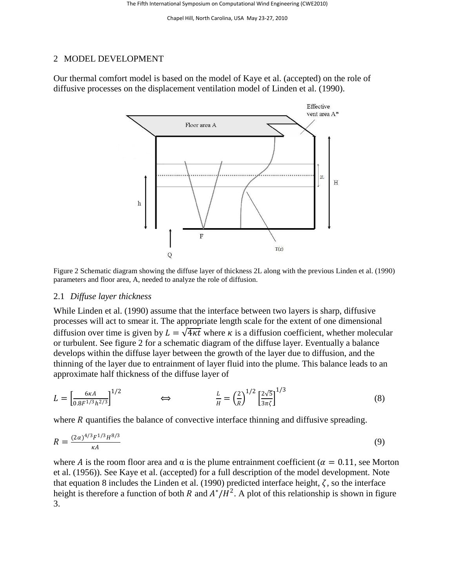#### 2 MODEL DEVELOPMENT

Our thermal comfort model is based on the model of Kaye et al. (accepted) on the role of diffusive processes on the displacement ventilation model of Linden et al. (1990).



Figure 2 Schematic diagram showing the diffuse layer of thickness 2L along with the previous Linden et al. (1990) parameters and floor area, A, needed to analyze the role of diffusion.

#### 2.1 *Diffuse layer thickness*

While Linden et al. (1990) assume that the interface between two layers is sharp, diffusive processes will act to smear it. The appropriate length scale for the extent of one dimensional diffusion over time is given by  $L = \sqrt{4\kappa t}$  where  $\kappa$  is a diffusion coefficient, whether molecular or turbulent. See figure 2 for a schematic diagram of the diffuse layer. Eventually a balance develops within the diffuse layer between the growth of the layer due to diffusion, and the thinning of the layer due to entrainment of layer fluid into the plume. This balance leads to an approximate half thickness of the diffuse layer of

$$
L = \left[\frac{6\kappa A}{0.8F^{1/3}h^{2/3}}\right]^{1/2} \qquad \Longleftrightarrow \qquad \frac{L}{H} = \left(\frac{2}{R}\right)^{1/2} \left[\frac{2\sqrt{5}}{3\pi\zeta}\right]^{1/3} \tag{8}
$$

where  *quantifies the balance of convective interface thinning and diffusive spreading.* 

$$
R = \frac{(2\alpha)^{4/3} F^{1/3} H^{8/3}}{\kappa A} \tag{9}
$$

where A is the room floor area and  $\alpha$  is the plume entrainment coefficient ( $\alpha = 0.11$ , see Morton et al. (1956)). See Kaye et al. (accepted) for a full description of the model development. Note that equation 8 includes the Linden et al. (1990) predicted interface height,  $\zeta$ , so the interface height is therefore a function of both R and  $A^*/H^2$ . A plot of this relationship is shown in figure 3.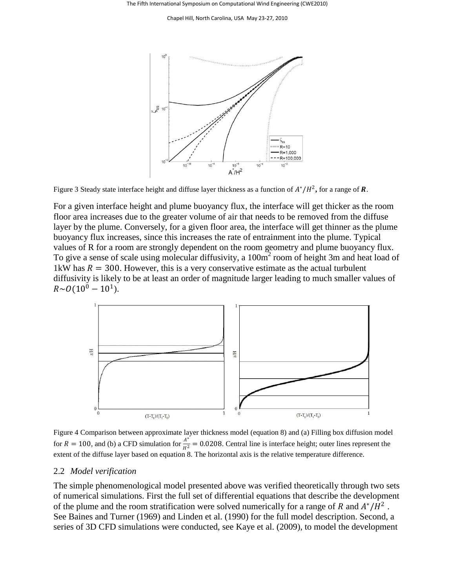

Figure 3 Steady state interface height and diffuse layer thickness as a function of  $A^*/H^2$ , for a range of **R**.

For a given interface height and plume buoyancy flux, the interface will get thicker as the room floor area increases due to the greater volume of air that needs to be removed from the diffuse layer by the plume. Conversely, for a given floor area, the interface will get thinner as the plume buoyancy flux increases, since this increases the rate of entrainment into the plume. Typical values of R for a room are strongly dependent on the room geometry and plume buoyancy flux. To give a sense of scale using molecular diffusivity, a 100m<sup>2</sup> room of height 3m and heat load of 1kW has  $R = 300$ . However, this is a very conservative estimate as the actual turbulent diffusivity is likely to be at least an order of magnitude larger leading to much smaller values of  $R \sim O(10^0 - 10^1)$ .



Figure 4 Comparison between approximate layer thickness model (equation 8) and (a) Filling box diffusion model for  $R = 100$ , and (b) a CFD simulation for  $\frac{A^{*}}{H^2} = 0.0208$ . Central line is interface height; outer lines represent the extent of the diffuse layer based on equation 8. The horizontal axis is the relative temperature difference.

#### 2.2 *Model verification*

The simple phenomenological model presented above was verified theoretically through two sets of numerical simulations. First the full set of differential equations that describe the development of the plume and the room stratification were solved numerically for a range of R and  $A^*/H^2$ . See Baines and Turner (1969) and Linden et al. (1990) for the full model description. Second, a series of 3D CFD simulations were conducted, see Kaye et al. (2009), to model the development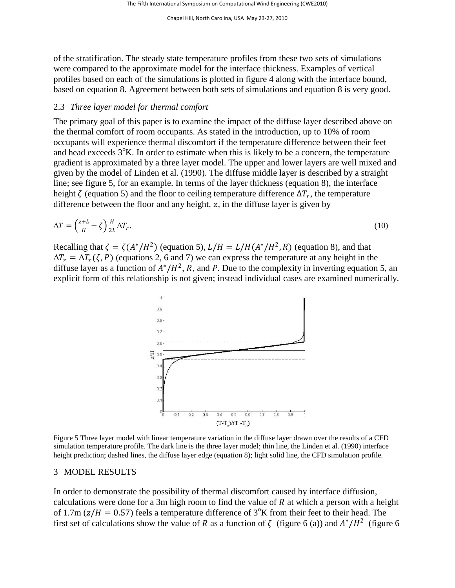of the stratification. The steady state temperature profiles from these two sets of simulations were compared to the approximate model for the interface thickness. Examples of vertical profiles based on each of the simulations is plotted in figure 4 along with the interface bound, based on equation 8. Agreement between both sets of simulations and equation 8 is very good.

# 2.3 *Three layer model for thermal comfort*

The primary goal of this paper is to examine the impact of the diffuse layer described above on the thermal comfort of room occupants. As stated in the introduction, up to 10% of room occupants will experience thermal discomfort if the temperature difference between their feet and head exceeds  $3^\circ$ K. In order to estimate when this is likely to be a concern, the temperature gradient is approximated by a three layer model. The upper and lower layers are well mixed and given by the model of Linden et al. (1990). The diffuse middle layer is described by a straight line; see figure 5, for an example. In terms of the layer thickness (equation 8), the interface height  $\zeta$  (equation 5) and the floor to ceiling temperature difference  $\Delta T_r$ , the temperature difference between the floor and any height,  $z$ , in the diffuse layer is given by

$$
\Delta T = \left(\frac{z+L}{H} - \zeta\right) \frac{H}{2L} \Delta T_r. \tag{10}
$$

Recalling that  $\zeta = \zeta (A^*/H^2)$  (equation 5),  $L/H = L/H(A^*/H^2, R)$  (equation 8), and that  $\Delta T_r = \Delta T_r(\zeta, P)$  (equations 2, 6 and 7) we can express the temperature at any height in the diffuse layer as a function of  $A^*/H^2$ , R, and P. Due to the complexity in inverting equation 5, an explicit form of this relationship is not given; instead individual cases are examined numerically.



Figure 5 Three layer model with linear temperature variation in the diffuse layer drawn over the results of a CFD simulation temperature profile. The dark line is the three layer model; thin line, the Linden et al. (1990) interface height prediction; dashed lines, the diffuse layer edge (equation 8); light solid line, the CFD simulation profile.

#### 3 MODEL RESULTS

In order to demonstrate the possibility of thermal discomfort caused by interface diffusion, calculations were done for a 3m high room to find the value of  $R$  at which a person with a height of 1.7m ( $z/H = 0.57$ ) feels a temperature difference of 3<sup>o</sup>K from their feet to their head. The first set of calculations show the value of R as a function of  $\zeta$  (figure 6 (a)) and  $A^*/H^2$  (figure 6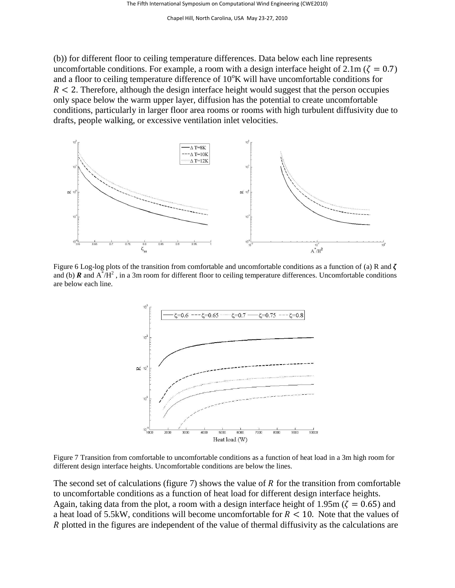(b)) for different floor to ceiling temperature differences. Data below each line represents uncomfortable conditions. For example, a room with a design interface height of  $2.1m$  ( $\zeta = 0.7$ ) and a floor to ceiling temperature difference of  $10^{\circ}$ K will have uncomfortable conditions for  $R < 2$ . Therefore, although the design interface height would suggest that the person occupies only space below the warm upper layer, diffusion has the potential to create uncomfortable conditions, particularly in larger floor area rooms or rooms with high turbulent diffusivity due to drafts, people walking, or excessive ventilation inlet velocities.



Figure 6 Log-log plots of the transition from comfortable and uncomfortable conditions as a function of (a) R and  $\zeta$ and (b)  $\bf{R}$  and  $\vec{A} / \vec{H}^2$ , in a 3m room for different floor to ceiling temperature differences. Uncomfortable conditions are below each line.



Figure 7 Transition from comfortable to uncomfortable conditions as a function of heat load in a 3m high room for different design interface heights. Uncomfortable conditions are below the lines.

The second set of calculations (figure 7) shows the value of  $R$  for the transition from comfortable to uncomfortable conditions as a function of heat load for different design interface heights. Again, taking data from the plot, a room with a design interface height of 1.95m ( $\zeta = 0.65$ ) and a heat load of 5.5kW, conditions will become uncomfortable for  $R < 10$ . Note that the values of R plotted in the figures are independent of the value of thermal diffusivity as the calculations are